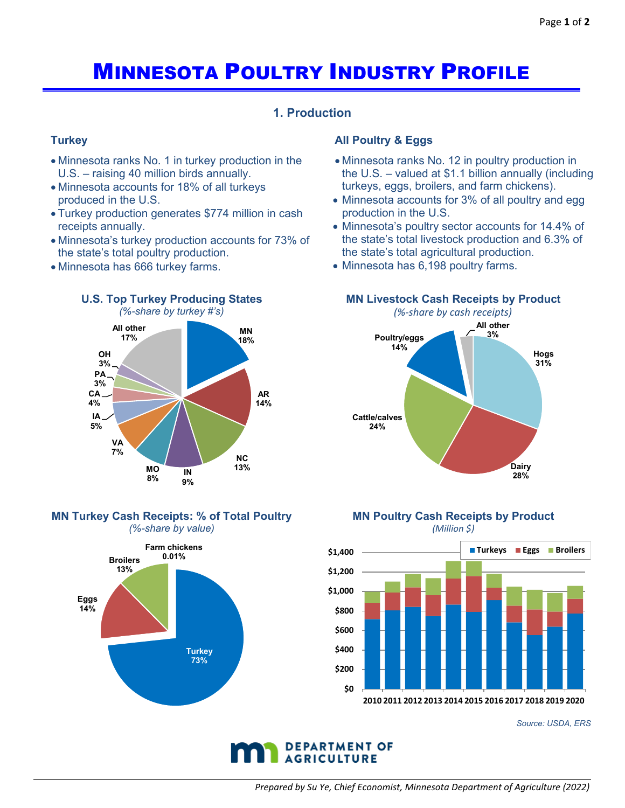# MINNESOTA POULTRY INDUSTRY PROFILE

# **1. Production**

## **Turkey**

- Minnesota ranks No. 1 in turkey production in the U.S. – raising 40 million birds annually.
- Minnesota accounts for 18% of all turkeys produced in the U.S.
- Turkey production generates \$774 million in cash receipts annually.
- Minnesota's turkey production accounts for 73% of the state's total poultry production.
- Minnesota has 666 turkey farms.



#### **MN Turkey Cash Receipts: % of Total Poultry** *(%-share by value)*



### **All Poultry & Eggs**

- Minnesota ranks No. 12 in poultry production in the U.S. – valued at \$1.1 billion annually (including turkeys, eggs, broilers, and farm chickens).
- Minnesota accounts for 3% of all poultry and egg production in the U.S.
- Minnesota's poultry sector accounts for 14.4% of the state's total livestock production and 6.3% of the state's total agricultural production.
- Minnesota has 6,198 poultry farms.

#### **MN Livestock Cash Receipts by Product**

*(%-share by cash receipts)*



#### **MN Poultry Cash Receipts by Product** *(Million \$)*



*Source: USDA, ERS*

![](_page_0_Picture_23.jpeg)